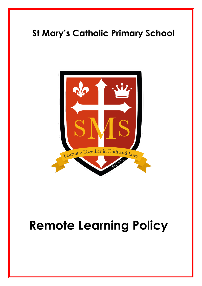

# **Remote Learning Policy**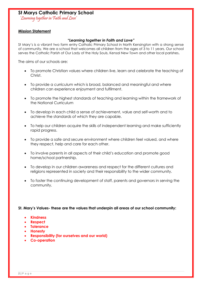'Learning together in Faith and Love'

#### **Mission Statement**

#### *"Learning together in Faith and Love"*

St Mary's is a vibrant two form entry Catholic Primary School in North Kensington with a strong sense of community. We are a school that welcomes all children from the ages of 3 to 11 years. Our school serves the Catholic Parish of Our Lady of the Holy Souls, Kensal New Town and other local parishes**.** 

The aims of our schools are:

- To promote Christian values where children live, learn and celebrate the teaching of Christ.
- To provide a curriculum which is broad, balanced and meaningful and where children can experience enjoyment and fulfilment.
- To promote the highest standards of teaching and learning within the framework of the National Curriculum
- To develop in each child a sense of achievement, value and self-worth and to achieve the standards of which they are capable.
- To help our children acquire the skills of independent learning and make sufficiently rapid progress.
- To provide a safe and secure environment where children feel valued, and where they respect, help and care for each other.
- To involve parents in all aspects of their child's education and promote good home/school partnership.
- To develop in our children awareness and respect for the different cultures and religions represented in society and their responsibility to the wider community.
- To foster the continuing development of staff, parents and governors in serving the community.

#### **St. Mary's Values- these are the values that underpin all areas of our school community:**

- **Kindness**
- **Respect**
- **Tolerance**
- **Honesty**
- **Responsibility (for ourselves and our world)**
- **Co-operation**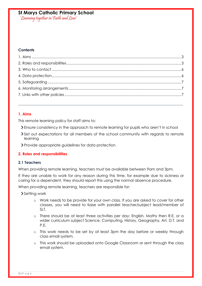'Learning together in Faith and Love'

#### **Contents**

#### <span id="page-2-0"></span>**1. Aims**

This remote learning policy for staff aims to:

- Ensure consistency in the approach to remote learning for pupils who aren't in school
- Set out expectations for all members of the school community with regards to remote learning
- Provide appropriate guidelines for data protection

#### <span id="page-2-1"></span>**2. Roles and responsibilities**

#### **2.1 Teachers**

When providing remote learning, teachers must be available between 9am and 3pm.

If they are unable to work for any reason during this time, for example due to sickness or caring for a dependent, they should report this using the normal absence procedure.

When providing remote learning, teachers are responsible for:

> Setting work

- o Work needs to be provide for your own class. If you are asked to cover for other classes, you will need to liaise with parallel teacher/subject lead/member of SLT.
- o There should be at least three activities per day: English, Maths then R.E. or a wider curriculum subject Science, Computing, History, Geography, Art, D.T. and P.E.
- o This work needs to be set by at least 3pm the day before or weekly through class email system.
- o This work should be uploaded onto Google Classroom or sent through the class email system.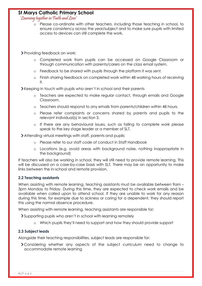'Learning together in Faith and Love'

- o Please co-ordinate with other teachers, including those teaching in school, to ensure consistency across the year/subject and to make sure pupils with limited access to devices can still complete the work.
- Providing feedback on work:
	- o Completed work from pupils can be accessed on Google Classroom or through communication with parents/carers on the class email system.
	- o Feedback to be shared with pupils through the platform it was sent.
	- o Finish sharing feedback on completed work within 48 working hours of receiving it.

Keeping in touch with pupils who aren't in school and their parents

- o Teachers are expected to make regular contact, through emails and Google Classroom.
- o Teachers should respond to any emails from parents/children within 48 hours.
- o Please refer complaints or concerns shared by parents and pupils to the relevant individual(s) in section 3.
- o If there are any behavioural issues, such as failing to complete work please speak to the key stage leader or a member of SLT.

Attending virtual meetings with staff, parents and pupils:

- o Please refer to our staff code of conduct in Staff Handbook
- o Locations (e.g. avoid areas with background noise, nothing inappropriate in the background)

If teachers will also be working in school, they will still need to provide remote learning. This will be discussed on a case-by-case basis with SLT. There may be an opportunity to make links between the in-school and remote provision.

#### **2.2 Teaching assistants**

When assisting with remote learning, teaching assistants must be available between 9am – 3pm Monday to Friday. During this time, they are expected to check work emails and be available when called upon to attend school. If they are unable to work for any reason during this time, for example due to sickness or caring for a dependent, they should report this using the normal absence procedure.

When assisting with remote learning, teaching assistants are responsible for:

Supporting pupils who aren't in school with learning remotely

o Which pupils they'll need to support and how they should provide support

#### **2.3 Subject leads**

Alongside their teaching responsibilities, subject leads are responsible for:

Considering whether any aspects of the subject curriculum need to change to accommodate remote learning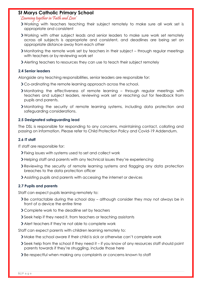#### 'Learning together in Faith and Love'

- Working with teachers teaching their subject remotely to make sure all work set is appropriate and consistent
- Working with other subject leads and senior leaders to make sure work set remotely across all subjects is appropriate and consistent, and deadlines are being set an appropriate distance away from each other
- Monitoring the remote work set by teachers in their subject through regular meetings with teachers or by reviewing work set
- Alerting teachers to resources they can use to teach their subject remotely

#### **2.4 Senior leaders**

Alongside any teaching responsibilities, senior leaders are responsible for:

- Co-ordinating the remote learning approach across the school.
- Monitoring the effectiveness of remote learning through regular meetings with teachers and subject leaders, reviewing work set or reaching out for feedback from pupils and parents.
- Monitoring the security of remote learning systems, including data protection and safeguarding considerations.

#### **2.5 Designated safeguarding lead**

The DSL is responsible for responding to any concerns, maintaining contact, collating and passing on information. Please refer to Child Protection Policy and Covid-19 Addendum.

#### **2.6 IT staff**

IT staff are responsible for:

- Fixing issues with systems used to set and collect work
- Helping staff and parents with any technical issues they're experiencing
- Reviewing the security of remote learning systems and flagging any data protection breaches to the data protection officer
- Assisting pupils and parents with accessing the internet or devices

#### **2.7 Pupils and parents**

Staff can expect pupils learning remotely to:

- $\sum$  Be contactable during the school day although consider they may not always be in front of a device the entire time
- Complete work to the deadline set by teachers
- Seek help if they need it, from teachers or teaching assistants
- Alert teachers if they're not able to complete work

Staff can expect parents with children learning remotely to:

- Make the school aware if their child is sick or otherwise can't complete work
- Seek help from the school if they need it if you know of any resources staff should point parents towards if they're struggling, include those here
- Be respectful when making any complaints or concerns known to staff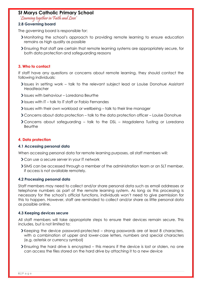'Learning together in Faith and Love'

#### **2.8 Governing board**

The governing board is responsible for:

- Monitoring the school's approach to providing remote learning to ensure education remains as high quality as possible
- Ensuring that staff are certain that remote learning systems are appropriately secure, for both data protection and safeguarding reasons

#### <span id="page-5-0"></span>**3. Who to contact**

If staff have any questions or concerns about remote learning, they should contact the following individuals:

- Issues in setting work talk to the relevant subject lead or Louise Donohue Assistant Headteacher
- Issues with behaviour Loredana Beurthe
- $\blacktriangleright$  Issues with IT talk to IT staff or Fabio Fernandes
- Issues with their own workload or wellbeing talk to their line manager
- Concerns about data protection talk to the data protection officer Louise Donohue
- Concerns about safeguarding talk to the DSL Magdalena Tusting or Loredana Beurthe

#### <span id="page-5-1"></span>**4. Data protection**

#### **4.1 Accessing personal data**

When accessing personal data for remote learning purposes, all staff members will:

- Can use a secure server in your IT network
- SIMS can be accessed through a member of the administration team or an SLT member, if access is not available remotely.

#### **4.2 Processing personal data**

Staff members may need to collect and/or share personal data such as email addresses or telephone numbers as part of the remote learning system. As long as this processing is necessary for the school's official functions, individuals won't need to give permission for this to happen. However, staff are reminded to collect and/or share as little personal data as possible online.

#### **4.3 Keeping devices secure**

All staff members will take appropriate steps to ensure their devices remain secure. This includes, but is not limited to:

- Keeping the device password-protected strong passwords are at least 8 characters, with a combination of upper and lower-case letters, numbers and special characters (e.g. asterisk or currency symbol)
- Ensuring the hard drive is encrypted this means if the device is lost or stolen, no one can access the files stored on the hard drive by attaching it to a new device